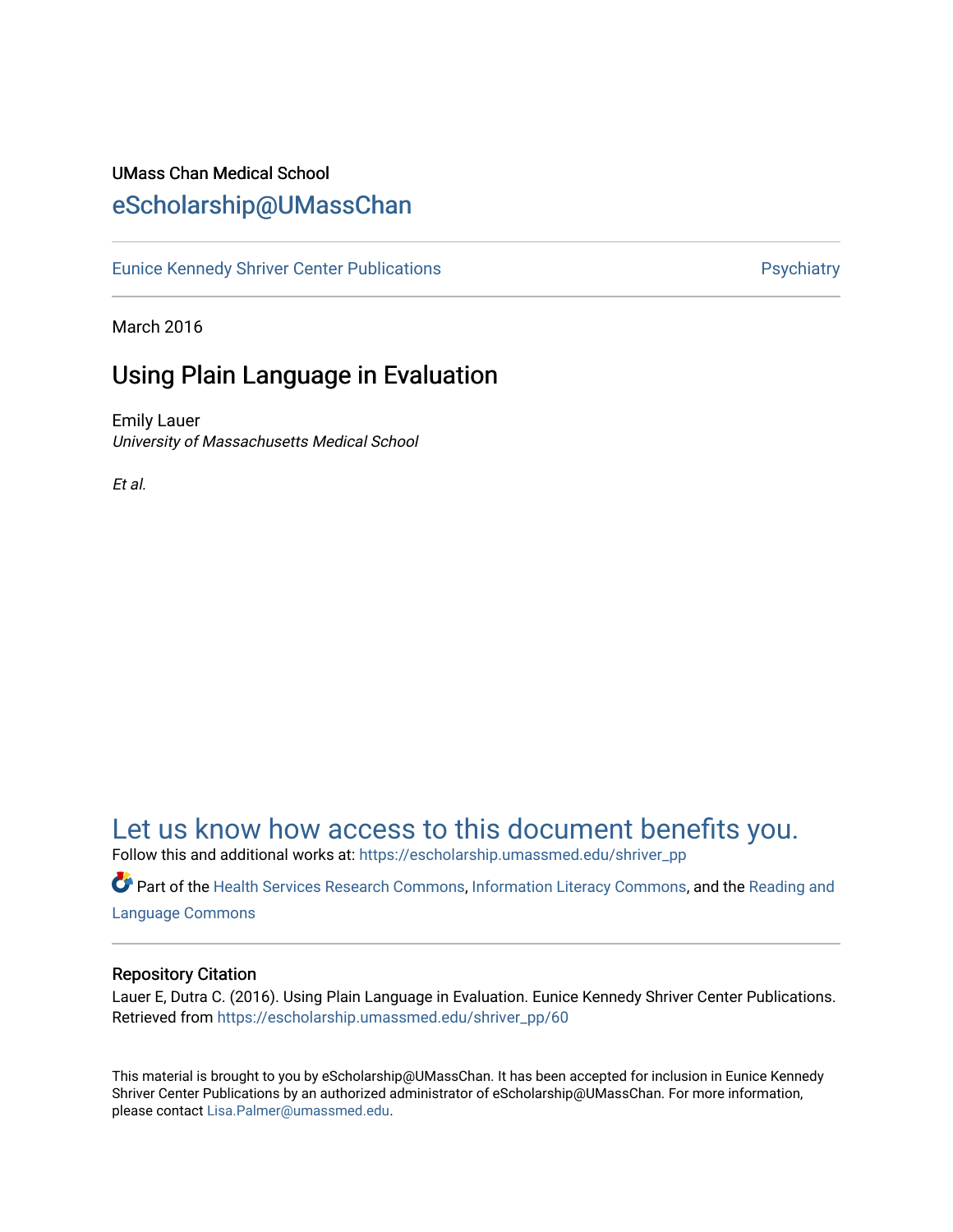## UMass Chan Medical School [eScholarship@UMassChan](https://escholarship.umassmed.edu/)

[Eunice Kennedy Shriver Center Publications](https://escholarship.umassmed.edu/shriver_pp) **Properties Access Properties Access** Psychiatry

March 2016

## Using Plain Language in Evaluation

Emily Lauer University of Massachusetts Medical School

Et al.

# [Let us know how access to this document benefits you.](https://arcsapps.umassmed.edu/redcap/surveys/?s=XWRHNF9EJE)

Follow this and additional works at: [https://escholarship.umassmed.edu/shriver\\_pp](https://escholarship.umassmed.edu/shriver_pp?utm_source=escholarship.umassmed.edu%2Fshriver_pp%2F60&utm_medium=PDF&utm_campaign=PDFCoverPages)

Part of the [Health Services Research Commons,](http://network.bepress.com/hgg/discipline/816?utm_source=escholarship.umassmed.edu%2Fshriver_pp%2F60&utm_medium=PDF&utm_campaign=PDFCoverPages) [Information Literacy Commons](http://network.bepress.com/hgg/discipline/1243?utm_source=escholarship.umassmed.edu%2Fshriver_pp%2F60&utm_medium=PDF&utm_campaign=PDFCoverPages), and the [Reading and](http://network.bepress.com/hgg/discipline/1037?utm_source=escholarship.umassmed.edu%2Fshriver_pp%2F60&utm_medium=PDF&utm_campaign=PDFCoverPages)  [Language Commons](http://network.bepress.com/hgg/discipline/1037?utm_source=escholarship.umassmed.edu%2Fshriver_pp%2F60&utm_medium=PDF&utm_campaign=PDFCoverPages)

#### Repository Citation

Lauer E, Dutra C. (2016). Using Plain Language in Evaluation. Eunice Kennedy Shriver Center Publications. Retrieved from [https://escholarship.umassmed.edu/shriver\\_pp/60](https://escholarship.umassmed.edu/shriver_pp/60?utm_source=escholarship.umassmed.edu%2Fshriver_pp%2F60&utm_medium=PDF&utm_campaign=PDFCoverPages)

This material is brought to you by eScholarship@UMassChan. It has been accepted for inclusion in Eunice Kennedy Shriver Center Publications by an authorized administrator of eScholarship@UMassChan. For more information, please contact [Lisa.Palmer@umassmed.edu](mailto:Lisa.Palmer@umassmed.edu).